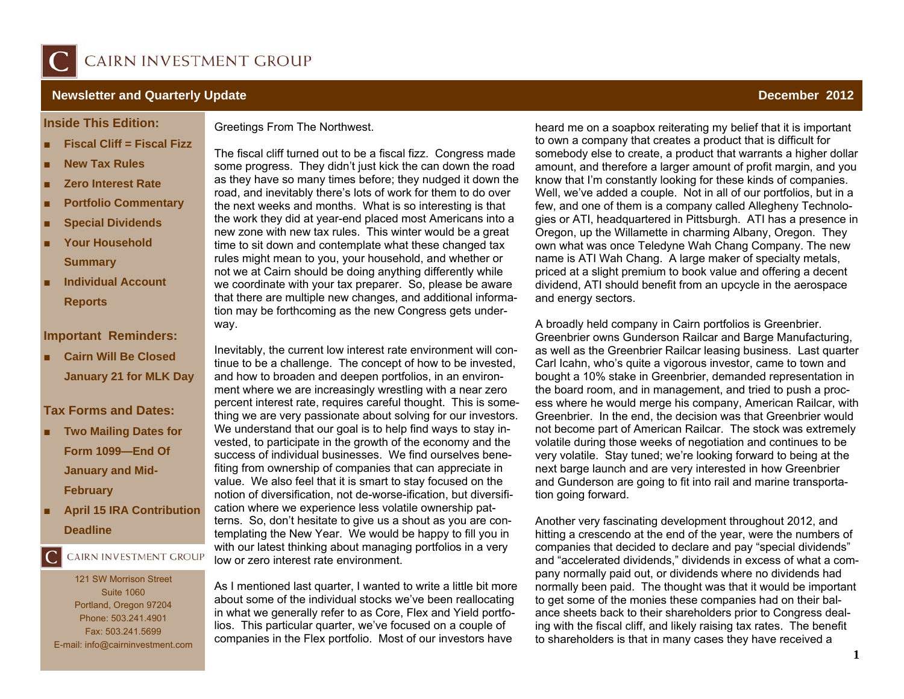

### **Newsletter and Quarterly Update December 2012 Construction of the UPS of the UPS of the UPS of the UPS of the UPS of the UPS of the UPS of the UPS of the UPS of the UPS of the UPS of the UPS of the UPS of the UPS of t**

#### **Inside This Edition:**

- **Fiscal Cliff = Fiscal Fizz**
- List item here. **New Tax Rules**
- **Zero Interest Rate**
- **E** Portfolio Commentary
- ×. ■ Special Dividends
- **Summary** *Commary* **Your Household**
- **Individual Account Reports**

#### **Important Reminders:**

 **Cairn Will Be Closed January 21 for MLK Day** 

## **Tax Forms and Dates:**

- ■ **Two Mailing Dates for Form 1099—End Of January and Mid-February**
- ■ **April 15 IRA Contribution Deadline**

# CAIRN INVESTMENT GROUP

121 SW Morrison Street Suite 1060 Portland, Oregon 97204 Phone: 503.241.4901 Fax: 503.241.5699 E-mail: info@cairninvestment.com Greetings From The Northwest.

The fiscal cliff turned out to be a fiscal fizz. Congress made some progress. They didn't just kick the can down the road as they have so many times before; they nudged it down the road, and inevitably there's lots of work for them to do over the next weeks and months. What is so interesting is that the work they did at year-end placed most Americans into a new zone with new tax rules. This winter would be a great time to sit down and contemplate what these changed tax rules might mean to you, your household, and whether or not we at Cairn should be doing anything differently while we coordinate with your tax preparer. So, please be aware that there are multiple new changes, and additional information may be forthcoming as the new Congress gets underway.

Inevitably, the current low interest rate environment will continue to be a challenge. The concept of how to be invested, and how to broaden and deepen portfolios, in an environment where we are increasingly wrestling with a near zero percent interest rate, requires careful thought. This is something we are very passionate about solving for our investors. We understand that our goal is to help find ways to stay invested, to participate in the growth of the economy and the success of individual businesses. We find ourselves benefiting from ownership of companies that can appreciate in value. We also feel that it is smart to stay focused on the notion of diversification, not de-worse-ification, but diversification where we experience less volatile ownership patterns. So, don't hesitate to give us a shout as you are contemplating the New Year. We would be happy to fill you in with our latest thinking about managing portfolios in a very low or zero interest rate environment.

As I mentioned last quarter, I wanted to write a little bit more about some of the individual stocks we've been reallocating in what we generally refer to as Core, Flex and Yield portfolios. This particular quarter, we've focused on a couple of companies in the Flex portfolio. Most of our investors have

heard me on a soapbox reiterating my belief that it is important to own a company that creates a product that is difficult for somebody else to create, a product that warrants a higher dollar amount, and therefore a larger amount of profit margin, and you know that I'm constantly looking for these kinds of companies. Well, we've added a couple. Not in all of our portfolios, but in a few, and one of them is a company called Allegheny Technologies or ATI, headquartered in Pittsburgh. ATI has a presence in Oregon, up the Willamette in charming Albany, Oregon. They own what was once Teledyne Wah Chang Company. The new name is ATI Wah Chang. A large maker of specialty metals, priced at a slight premium to book value and offering a decent dividend, ATI should benefit from an upcycle in the aerospace and energy sectors.

A broadly held company in Cairn portfolios is Greenbrier. Greenbrier owns Gunderson Railcar and Barge Manufacturing, as well as the Greenbrier Railcar leasing business. Last quarter Carl Icahn, who's quite a vigorous investor, came to town and bought a 10% stake in Greenbrier, demanded representation in the board room, and in management, and tried to push a process where he would merge his company, American Railcar, with Greenbrier. In the end, the decision was that Greenbrier would not become part of American Railcar. The stock was extremely volatile during those weeks of negotiation and continues to be very volatile. Stay tuned; we're looking forward to being at the next barge launch and are very interested in how Greenbrier and Gunderson are going to fit into rail and marine transportation going forward.

Another very fascinating development throughout 2012, and hitting a crescendo at the end of the year, were the numbers of companies that decided to declare and pay "special dividends" and "accelerated dividends," dividends in excess of what a company normally paid out, or dividends where no dividends had normally been paid. The thought was that it would be important to get some of the monies these companies had on their balance sheets back to their shareholders prior to Congress dealing with the fiscal cliff, and likely raising tax rates. The benefit to shareholders is that in many cases they have received a